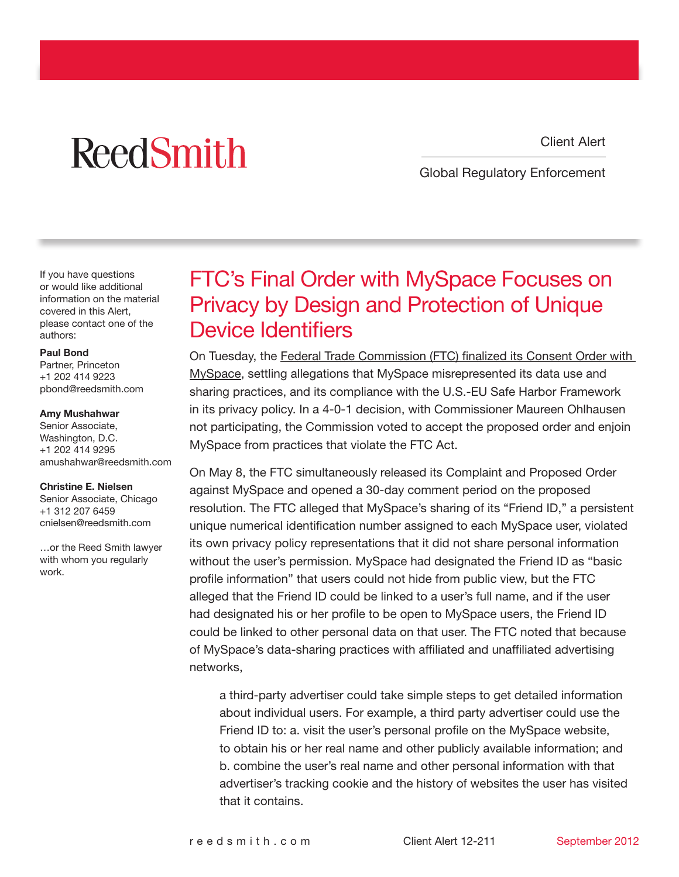Client Alert

# **ReedSmith**

Global Regulatory Enforcement

If you have questions or would like additional information on the material covered in this Alert, please contact one of the authors:

#### [Paul Bond](http://www.reedsmith.com/paul_bond/)

Partner, Princeton +1 202 414 9223 pbond@reedsmith.com

#### [Amy Mushahwar](http://www.reedsmith.com/amy_mushahwar/)

Senior Associate, Washington, D.C. +1 202 414 9295 amushahwar@reedsmith.com

#### [Christine E. Nielsen](http://www.reedsmith.com/christine_nielsen/)

Senior Associate, Chicago +1 312 207 6459 cnielsen@reedsmith.com

…or the Reed Smith lawyer with whom you regularly work.

### FTC's Final Order with MySpace Focuses on Privacy by Design and Protection of Unique Device Identifiers

On Tuesday, the [Federal Trade Commission \(FTC\) finalized its Consent Order with](http://www.ftc.gov/opa/2012/09/myspace.shtm)  [MySpace](http://www.ftc.gov/opa/2012/09/myspace.shtm), settling allegations that MySpace misrepresented its data use and sharing practices, and its compliance with the U.S.-EU Safe Harbor Framework in its privacy policy. In a 4-0-1 decision, with Commissioner Maureen Ohlhausen not participating, the Commission voted to accept the proposed order and enjoin MySpace from practices that violate the FTC Act.

On May 8, the FTC simultaneously released its Complaint and Proposed Order against MySpace and opened a 30-day comment period on the proposed resolution. The FTC alleged that MySpace's sharing of its "Friend ID," a persistent unique numerical identification number assigned to each MySpace user, violated its own privacy policy representations that it did not share personal information without the user's permission. MySpace had designated the Friend ID as "basic profile information" that users could not hide from public view, but the FTC alleged that the Friend ID could be linked to a user's full name, and if the user had designated his or her profile to be open to MySpace users, the Friend ID could be linked to other personal data on that user. The FTC noted that because of MySpace's data-sharing practices with affiliated and unaffiliated advertising networks,

a third-party advertiser could take simple steps to get detailed information about individual users. For example, a third party advertiser could use the Friend ID to: a. visit the user's personal profile on the MySpace website, to obtain his or her real name and other publicly available information; and b. combine the user's real name and other personal information with that advertiser's tracking cookie and the history of websites the user has visited that it contains.